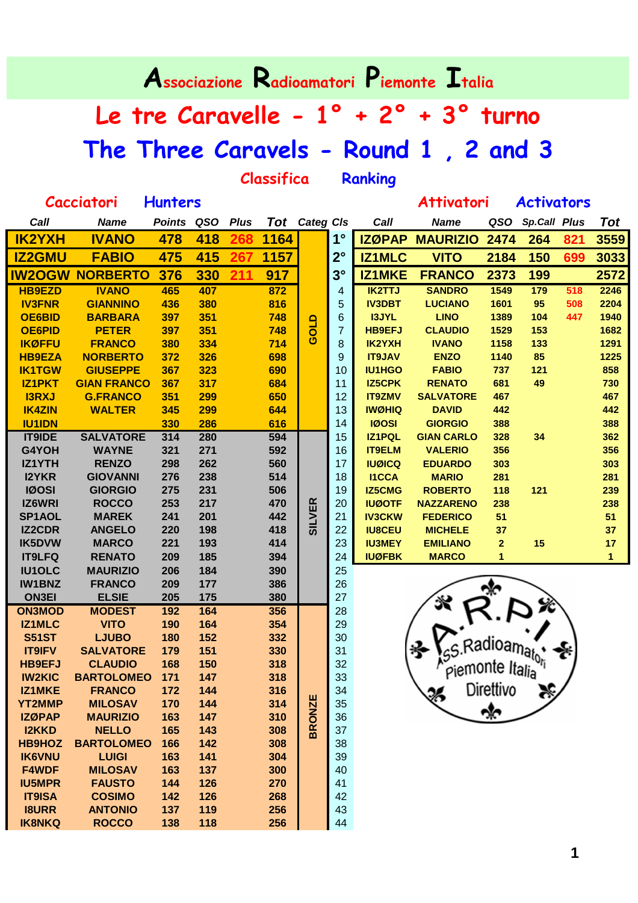**Associazione Radioamatori Piemonte Italia**

## **Le tre Caravelle - 1° + 2° + 3° turno The Three Caravels - Round 1 , 2 and 3**

**Classifica Ranking**

|              | Cacciatori      | <b>Hunters</b> |     |             |      |                       |             |               | <b>Attivatori</b> |      | <b>Activators</b>   |     |                  |
|--------------|-----------------|----------------|-----|-------------|------|-----------------------|-------------|---------------|-------------------|------|---------------------|-----|------------------|
| Call         | <b>Name</b>     | Points QSO     |     | <b>Plus</b> |      | Tot Categ Cls         |             | Call          | <b>Name</b>       | QSO  | <b>Sp.Call Plus</b> |     | Tot              |
| 2YXH         | <b>IVANO</b>    | 478            | 418 |             | 1164 |                       | $1^{\circ}$ | <b>IZØPAP</b> | <b>MAURIZIO</b>   | 2474 | 264                 | 821 | 355              |
| <b>2GMU</b>  | <b>FABIO</b>    | 475            | 415 |             | 1157 |                       | $2^{\circ}$ | <b>IZ1MLC</b> | <b>VITO</b>       | 2184 | 150                 | 699 | 303              |
| <b>2OGW</b>  | <b>NORBERTO</b> | 376            | 330 |             | 917  |                       | $3^\circ$   | <b>IZ1MKE</b> | <b>FRANCO</b>     | 2373 | 199                 |     | 257 <sub>2</sub> |
| <b>39EZD</b> | <b>IVANO</b>    | 465            | 407 |             | 872  |                       | 4           | <b>IK2TTJ</b> | <b>SANDRO</b>     | 1549 | 179                 | 518 | 2246             |
| <b>3FNR</b>  | <b>GIANNINO</b> | 436            | 380 |             | 816  |                       | 5           | <b>IV3DBT</b> | <b>LUCIANO</b>    | 1601 | 95                  | 508 | 2204             |
| E6BID.       | <b>BARBARA</b>  | 397            | 351 |             | 748  | ≏                     | 6           | <b>I3JYL</b>  | <b>LINO</b>       | 1389 | 104                 | 447 | 1940             |
| E6PID        | <b>PETER</b>    | 397            | 351 |             | 748  | ಠ                     | 7           | <b>HB9EFJ</b> | <b>CLAUDIO</b>    | 1529 | 153                 |     | 1682             |
| ØFFU         | <b>FRANCO</b>   | 380            | 334 |             | 714  | $\boldsymbol{\sigma}$ | 8           | IK2YXH        | <b>IVANO</b>      | 1158 | 133                 |     | 1291             |
| 39EZA        | <b>NORBERTO</b> | 372            | 326 |             | 698  |                       | 9           | <b>IT9JAV</b> | <b>ENZO</b>       | 1140 | 85                  |     | 1225             |
| 1TGW         | <b>GIUSEPPE</b> | 367            | 323 |             | 690  |                       | 10          | <b>IU1HGO</b> | <b>FABIO</b>      | 737  | 121                 |     | 858              |

| 3559<br>821<br>699<br>3033<br>2572<br>518<br>2246<br>508<br>2204<br>447<br>1940<br>1682<br>1291<br>1225<br>858<br>730<br>467<br>442<br>388<br>362<br>356<br>303<br>281<br>239<br>238 |
|--------------------------------------------------------------------------------------------------------------------------------------------------------------------------------------|
|                                                                                                                                                                                      |
|                                                                                                                                                                                      |
|                                                                                                                                                                                      |
|                                                                                                                                                                                      |
|                                                                                                                                                                                      |
|                                                                                                                                                                                      |
|                                                                                                                                                                                      |
|                                                                                                                                                                                      |
|                                                                                                                                                                                      |
|                                                                                                                                                                                      |
|                                                                                                                                                                                      |
|                                                                                                                                                                                      |
|                                                                                                                                                                                      |
|                                                                                                                                                                                      |
|                                                                                                                                                                                      |
|                                                                                                                                                                                      |
|                                                                                                                                                                                      |
|                                                                                                                                                                                      |
|                                                                                                                                                                                      |
|                                                                                                                                                                                      |
| 51                                                                                                                                                                                   |
| 37                                                                                                                                                                                   |
| 17                                                                                                                                                                                   |
| $\mathbf{1}$                                                                                                                                                                         |
|                                                                                                                                                                                      |
|                                                                                                                                                                                      |
|                                                                                                                                                                                      |
|                                                                                                                                                                                      |
|                                                                                                                                                                                      |
|                                                                                                                                                                                      |
|                                                                                                                                                                                      |
|                                                                                                                                                                                      |
|                                                                                                                                                                                      |
|                                                                                                                                                                                      |
|                                                                                                                                                                                      |
|                                                                                                                                                                                      |
|                                                                                                                                                                                      |
|                                                                                                                                                                                      |
|                                                                                                                                                                                      |
|                                                                                                                                                                                      |
|                                                                                                                                                                                      |
|                                                                                                                                                                                      |
|                                                                                                                                                                                      |
|                                                                                                                                                                                      |
|                                                                                                                                                                                      |

| <b>NUDENIU</b>                   | י ו              | 1 Z I |  |
|----------------------------------|------------------|-------|--|
| <b>NAZZARENO</b>                 | 238              |       |  |
| <b>FEDERICO</b>                  | 51               |       |  |
| <b>MICHELE</b>                   | 37               |       |  |
| <b>EMILIANO</b>                  | $\overline{2}$   | 15    |  |
| <b>MARCO</b>                     | 1                |       |  |
| S.Radioamator<br>piemonte Italia | <b>Direttivo</b> |       |  |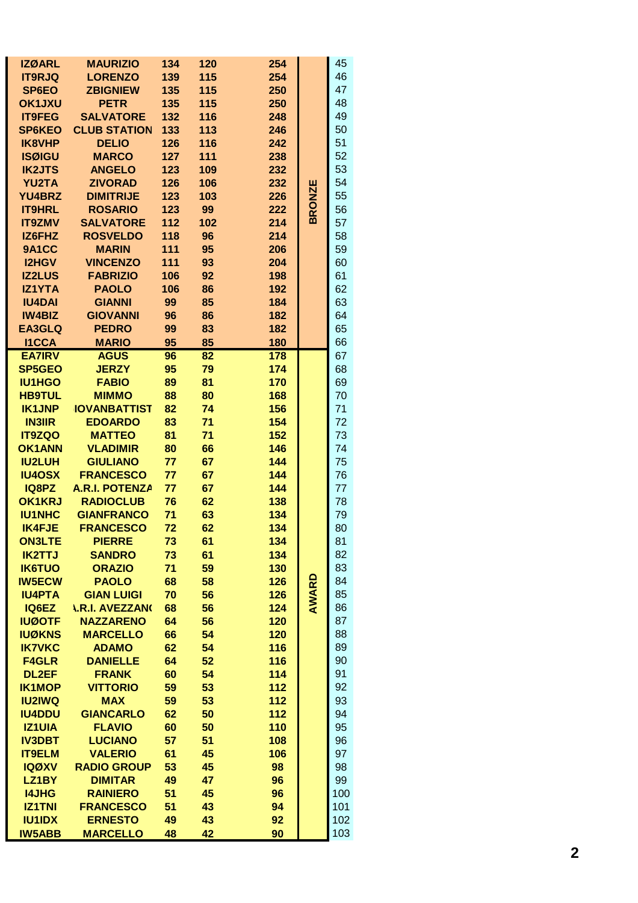| <b>IZØARL</b>                  | <b>MAURIZIO</b>                  | 134       | 120      | 254        |              | 45       |
|--------------------------------|----------------------------------|-----------|----------|------------|--------------|----------|
| <b>IT9RJQ</b>                  | <b>LORENZO</b>                   | 139       | 115      | 254        |              | 46       |
| SP6EO                          | <b>ZBIGNIEW</b>                  | 135       | 115      | 250        |              | 47       |
| <b>OK1JXU</b>                  | <b>PETR</b>                      | 135       | 115      | 250        |              | 48       |
| <b>IT9FEG</b>                  | <b>SALVATORE</b>                 | 132       | 116      | 248        |              | 49       |
| <b>SP6KEO</b>                  | <b>CLUB STATION</b>              | 133       | 113      | 246        |              | 50       |
| <b>IK8VHP</b>                  | <b>DELIO</b>                     | 126       | 116      | 242        |              | 51       |
| <b>ISØIGU</b>                  | <b>MARCO</b>                     | 127       | 111      | 238        |              | 52       |
| <b>IK2JTS</b>                  | <b>ANGELO</b>                    | 123       | 109      | 232        |              | 53       |
| <b>YU2TA</b>                   | <b>ZIVORAD</b>                   | 126       | 106      | 232        |              | 54       |
| <b>YU4BRZ</b>                  | <b>DIMITRIJE</b>                 | 123       | 103      | 226        | <b>RONZE</b> | 55       |
| <b>IT9HRL</b>                  | <b>ROSARIO</b>                   | 123       | 99       | 222        | m            | 56       |
| <b>IT9ZMV</b>                  | <b>SALVATORE</b>                 | 112       | 102      | 214        |              | 57       |
| IZ6FHZ                         | <b>ROSVELDO</b>                  | 118       | 96       | 214        |              | 58       |
| <b>9A1CC</b>                   | <b>MARIN</b>                     | 111       | 95       | 206        |              | 59       |
| <b>I2HGV</b>                   | <b>VINCENZO</b>                  | 111       | 93       | 204        |              | 60       |
| <b>IZ2LUS</b>                  | <b>FABRIZIO</b>                  | 106       | 92       | 198        |              | 61       |
| <b>IZ1YTA</b>                  | <b>PAOLO</b>                     | 106<br>99 | 86       | 192<br>184 |              | 62<br>63 |
| <b>IU4DAI</b><br><b>IW4BIZ</b> | <b>GIANNI</b><br><b>GIOVANNI</b> | 96        | 85<br>86 | 182        |              | 64       |
| <b>EA3GLQ</b>                  | <b>PEDRO</b>                     | 99        | 83       | 182        |              | 65       |
| <b>I1CCA</b>                   | <b>MARIO</b>                     | 95        | 85       | 180        |              | 66       |
| <b>EA7IRV</b>                  | <b>AGUS</b>                      | 96        | 82       | 178        |              | 67       |
| <b>SP5GEO</b>                  | <b>JERZY</b>                     | 95        | 79       | 174        |              | 68       |
| <b>IU1HGO</b>                  | <b>FABIO</b>                     | 89        | 81       | 170        |              | 69       |
| <b>HB9TUL</b>                  | <b>MIMMO</b>                     | 88        | 80       | 168        |              | 70       |
| <b>IK1JNP</b>                  | <b>IOVANBATTIST</b>              | 82        | 74       | 156        |              | 71       |
| <b>IN3IIR</b>                  | <b>EDOARDO</b>                   | 83        | 71       | 154        |              | 72       |
| <b>IT9ZQO</b>                  | <b>MATTEO</b>                    | 81        | 71       | 152        |              | 73       |
| <b>OK1ANN</b>                  | <b>VLADIMIR</b>                  | 80        | 66       | 146        |              | 74       |
| <b>IU2LUH</b>                  | <b>GIULIANO</b>                  | 77        | 67       | 144        |              | 75       |
| <b>IU4OSX</b>                  | <b>FRANCESCO</b>                 | 77        | 67       | 144        |              | 76       |
| IQ8PZ                          | <b>A.R.I. POTENZA</b>            | 77        | 67       | 144        |              | 77       |
| <b>OK1KRJ</b>                  | <b>RADIOCLUB</b>                 | 76        | 62       | 138        |              | 78       |
| <b>IU1NHC</b>                  | <b>GIANFRANCO</b>                | 71        | 63       | 134        |              | 79       |
| <b>IK4FJE</b>                  | <b>FRANCESCO</b>                 | 72        | 62       | 134        |              | 80       |
| <b>ON3LTE</b>                  | <b>PIERRE</b>                    | 73        | 61       | 134        |              | 81       |
| <b>IK2TTJ</b>                  | <b>SANDRO</b>                    | 73        | 61       | 134        |              | 82       |
| <b>IK6TUO</b>                  | <b>ORAZIO</b>                    | 71        | 59       | 130        |              | 83       |
| <b>IW5ECW</b>                  | <b>PAOLO</b>                     | 68        | 58       | 126        |              | 84       |
| <b>IU4PTA</b>                  | <b>GIAN LUIGI</b>                | 70        | 56       | 126        | AWARD        | 85       |
| IQ6EZ                          | <b><i>LR.I. AVEZZANG</i></b>     | 68        | 56       | 124        |              | 86       |
| <b>IUØOTF</b>                  | <b>NAZZARENO</b>                 | 64        | 56       | 120        |              | 87       |
| <b>IUØKNS</b>                  | <b>MARCELLO</b>                  | 66        | 54       | 120        |              | 88       |
| <b>IK7VKC</b>                  | <b>ADAMO</b>                     | 62        | 54       | 116        |              | 89       |
| <b>F4GLR</b>                   | <b>DANIELLE</b>                  | 64        | 52       | 116        |              | 90       |
| <b>DL2EF</b>                   | <b>FRANK</b>                     | 60        | 54       | 114        |              | 91       |
| <b>IK1MOP</b>                  | <b>VITTORIO</b>                  | 59        | 53       | 112        |              | 92       |
| <b>IU2IWQ</b>                  | <b>MAX</b>                       | 59        | 53       | 112        |              | 93       |
| <b>IU4DDU</b>                  | <b>GIANCARLO</b>                 | 62        | 50       | 112        |              | 94       |
| <b>IZ1UIA</b>                  | <b>FLAVIO</b>                    | 60        | 50       | 110        |              | 95       |
| <b>IV3DBT</b>                  | <b>LUCIANO</b>                   | 57        | 51       | 108        |              | 96       |
| <b>IT9ELM</b>                  | <b>VALERIO</b>                   | 61        | 45       | 106        |              | 97       |
| <b>IQØXV</b>                   | <b>RADIO GROUP</b>               | 53        | 45       | 98         |              | 98       |
| LZ1BY                          | <b>DIMITAR</b>                   | 49        | 47       | 96         |              | 99       |
| <b>I4JHG</b>                   | <b>RAINIERO</b>                  | 51        | 45       | 96         |              | 100      |
| <b>IZ1TNI</b>                  | <b>FRANCESCO</b>                 | 51        | 43       | 94         |              | 101      |
| <b>IU1IDX</b>                  | <b>ERNESTO</b>                   | 49        | 43       | 92         |              | 102      |
| <b>IW5ABB</b>                  | <b>MARCELLO</b>                  | 48        | 42       | 90         |              | 103      |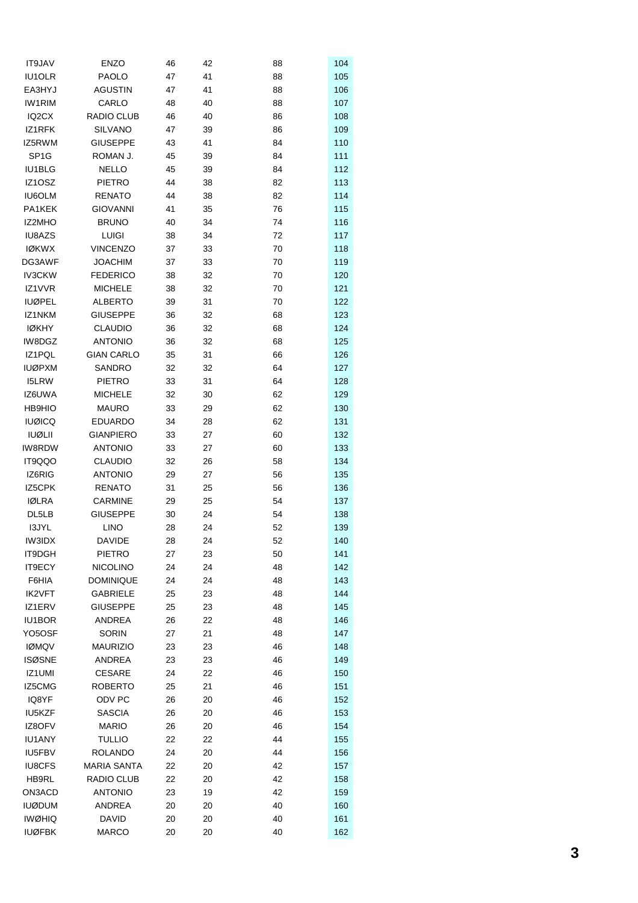| <b>IT9JAV</b>      | <b>ENZO</b>        | 46 | 42 | 88 | 104 |
|--------------------|--------------------|----|----|----|-----|
| <b>IU1OLR</b>      | PAOLO              | 47 | 41 | 88 | 105 |
| EA3HYJ             | <b>AGUSTIN</b>     | 47 | 41 | 88 | 106 |
| IW1RIM             | CARLO              | 48 | 40 | 88 | 107 |
| IQ <sub>2</sub> CX | <b>RADIO CLUB</b>  | 46 | 40 | 86 | 108 |
| IZ1RFK             | <b>SILVANO</b>     | 47 | 39 | 86 | 109 |
| IZ5RWM             | <b>GIUSEPPE</b>    | 43 | 41 | 84 | 110 |
| SP <sub>1</sub> G  | ROMAN J.           | 45 | 39 | 84 | 111 |
| IU1BLG             | <b>NELLO</b>       | 45 | 39 | 84 | 112 |
| IZ1OSZ             | <b>PIETRO</b>      | 44 | 38 | 82 | 113 |
| <b>IU6OLM</b>      | <b>RENATO</b>      | 44 | 38 | 82 | 114 |
| PA1KEK             | <b>GIOVANNI</b>    | 41 | 35 | 76 | 115 |
| <b>IZ2MHO</b>      | <b>BRUNO</b>       | 40 | 34 | 74 | 116 |
| IU8AZS             | <b>LUIGI</b>       | 38 | 34 | 72 | 117 |
| <b>IØKWX</b>       | <b>VINCENZO</b>    | 37 | 33 | 70 | 118 |
| DG3AWF             | <b>JOACHIM</b>     | 37 | 33 | 70 | 119 |
| <b>IV3CKW</b>      | <b>FEDERICO</b>    |    |    |    |     |
|                    |                    | 38 | 32 | 70 | 120 |
| IZ1VVR             | <b>MICHELE</b>     | 38 | 32 | 70 | 121 |
| <b>IUØPEL</b>      | <b>ALBERTO</b>     | 39 | 31 | 70 | 122 |
| IZ1NKM             | <b>GIUSEPPE</b>    | 36 | 32 | 68 | 123 |
| <b>IØKHY</b>       | <b>CLAUDIO</b>     | 36 | 32 | 68 | 124 |
| IW8DGZ             | <b>ANTONIO</b>     | 36 | 32 | 68 | 125 |
| IZ1PQL             | <b>GIAN CARLO</b>  | 35 | 31 | 66 | 126 |
| <b>IUØPXM</b>      | <b>SANDRO</b>      | 32 | 32 | 64 | 127 |
| I5LRW              | <b>PIETRO</b>      | 33 | 31 | 64 | 128 |
| IZ6UWA             | <b>MICHELE</b>     | 32 | 30 | 62 | 129 |
| <b>HB9HIO</b>      | <b>MAURO</b>       | 33 | 29 | 62 | 130 |
| <b>IUØICQ</b>      | <b>EDUARDO</b>     | 34 | 28 | 62 | 131 |
| <b>IUØLII</b>      | <b>GIANPIERO</b>   | 33 | 27 | 60 | 132 |
| IW8RDW             | <b>ANTONIO</b>     | 33 | 27 | 60 | 133 |
| IT9QQO             | <b>CLAUDIO</b>     | 32 | 26 | 58 | 134 |
| IZ6RIG             | <b>ANTONIO</b>     | 29 | 27 | 56 | 135 |
| IZ5CPK             | <b>RENATO</b>      | 31 | 25 | 56 | 136 |
| <b>IØLRA</b>       | CARMINE            | 29 | 25 | 54 | 137 |
| DL5LB              | <b>GIUSEPPE</b>    | 30 | 24 | 54 | 138 |
| I3JYL              | <b>LINO</b>        | 28 | 24 | 52 | 139 |
| <b>IW3IDX</b>      | <b>DAVIDE</b>      | 28 | 24 | 52 | 140 |
| IT9DGH             | <b>PIETRO</b>      | 27 | 23 | 50 | 141 |
| IT9ECY             | <b>NICOLINO</b>    | 24 | 24 | 48 | 142 |
| F6HIA              | <b>DOMINIQUE</b>   | 24 | 24 | 48 | 143 |
| <b>IK2VFT</b>      | <b>GABRIELE</b>    | 25 | 23 | 48 | 144 |
| IZ1ERV             | <b>GIUSEPPE</b>    | 25 | 23 | 48 | 145 |
| IU1BOR             | ANDREA             | 26 | 22 | 48 | 146 |
| YO5OSF             | <b>SORIN</b>       | 27 | 21 | 48 | 147 |
| <b>IØMQV</b>       | <b>MAURIZIO</b>    | 23 | 23 | 46 | 148 |
| <b>ISØSNE</b>      | ANDREA             | 23 | 23 | 46 | 149 |
| IZ1UMI             | <b>CESARE</b>      | 24 | 22 | 46 | 150 |
| IZ5CMG             | <b>ROBERTO</b>     | 25 | 21 | 46 | 151 |
| IQ8YF              | ODV PC             | 26 | 20 | 46 | 152 |
| IU5KZF             | <b>SASCIA</b>      | 26 | 20 | 46 | 153 |
| IZ8OFV             | <b>MARIO</b>       | 26 | 20 | 46 | 154 |
| <b>IU1ANY</b>      | <b>TULLIO</b>      | 22 | 22 | 44 | 155 |
| IU5FBV             | <b>ROLANDO</b>     | 24 | 20 | 44 | 156 |
| <b>IU8CFS</b>      | <b>MARIA SANTA</b> | 22 | 20 | 42 | 157 |
| HB9RL              | RADIO CLUB         | 22 | 20 | 42 | 158 |
| ON3ACD             | <b>ANTONIO</b>     | 23 | 19 | 42 | 159 |
| <b>IUØDUM</b>      | ANDREA             | 20 | 20 | 40 | 160 |
| <b>IWØHIQ</b>      | <b>DAVID</b>       | 20 | 20 | 40 | 161 |
| <b>IUØFBK</b>      | <b>MARCO</b>       | 20 | 20 | 40 | 162 |